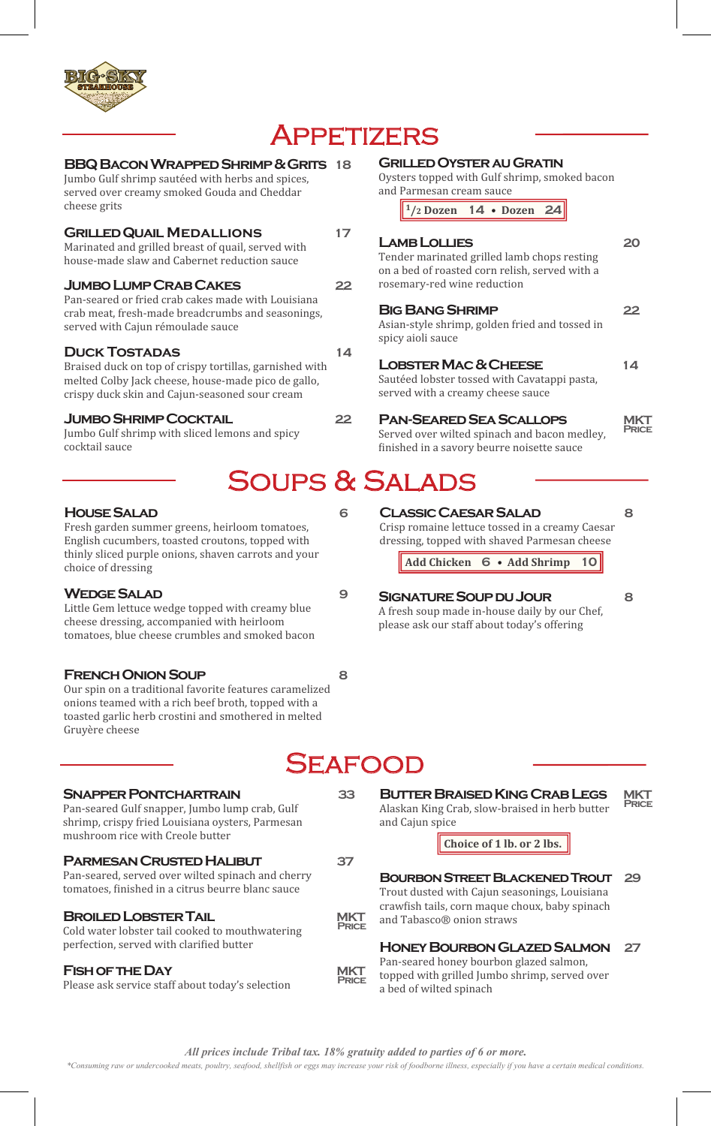

# **APPETIZERS**

### **BBQ Bacon Wrapped Shrimp & Grits 18**

Jumbo Gulf shrimp sautéed with herbs and spices, served over creamy smoked Gouda and Cheddar cheese grits

### **Grilled Quail Medallions 17**

Marinated and grilled breast of quail, served with house-made slaw and Cabernet reduction sauce

### **Jumbo Lump Crab Cakes 22**

Pan-seared or fried crab cakes made with Louisiana crab meat, fresh-made breadcrumbs and seasonings, served with Cajun rémoulade sauce

### **DUCK TOSTADAS** 14

Braised duck on top of crispy tortillas, garnished with melted Colby Jack cheese, house-made pico de gallo, crispy duck skin and Cajun-seasoned sour cream

### **Jumbo Shrimp Cocktail 22**

Jumbo Gulf shrimp with sliced lemons and spicy cocktail sauce

### **House Salad 6**

Fresh garden summer greens, heirloom tomatoes, English cucumbers, toasted croutons, topped with thinly sliced purple onions, shaven carrots and your choice of dressing

### WEDGE SALAD 9

Little Gem lettuce wedge topped with creamy blue cheese dressing, accompanied with heirloom tomatoes, blue cheese crumbles and smoked bacon

### **French Onion Soup 8**

Our spin on a traditional favorite features caramelized onions teamed with a rich beef broth, topped with a toasted garlic herb crostini and smothered in melted Gruyère cheese

### **SNAPPER PONTCHARTRAIN** 33

Pan-seared Gulf snapper, Jumbo lump crab, Gulf shrimp, crispy fried Louisiana oysters, Parmesan mushroom rice with Creole butter

### **Parmesan Crusted Halibut 37**

Pan-seared, served over wilted spinach and cherry tomatoes, finished in a citrus beurre blanc sauce

### **BROILED LOBSTER TAIL MIKT**

Cold water lobster tail cooked to mouthwatering perfection, served with clarified butter

### **FISH OF THE DAY** MKT

Please ask service staff about today's selection

### **Grilled Oyster au Gratin**

Oysters topped with Gulf shrimp, smoked bacon and Parmesan cream sauce

**1/2 Dozen 14** • **Dozen 24**

### **Lamb Lollies 20**

Tender marinated grilled lamb chops resting on a bed of roasted corn relish, served with a rosemary-red wine reduction

#### **Big Bang Shrimp 22**

Asian-style shrimp, golden fried and tossed in spicy aioli sauce

### LOBSTER MAC & CHEESE 14

Sautéed lobster tossed with Cavatappi pasta, served with a creamy cheese sauce

### **Pan-Seared Sea Scallops MKT**

**Price**

Served over wilted spinach and bacon medley, finished in a savory beurre noisette sauce

# SOUPS & SALADS

### **Classic Caesar Salad 8**

Crisp romaine lettuce tossed in a creamy Caesar dressing, topped with shaved Parmesan cheese

**Add Chicken 6** • **Add Shrimp 10**

### **Signature Soup du Jour 8**

A fresh soup made in-house daily by our Chef, please ask our staff about today's offering

# **SEAFOOD**

#### **Butter Braised King Crab Legs MKT Price**

Alaskan King Crab, slow-braised in herb butter and Cajun spice

### **Choice of 1 lb. or 2 lbs.**

### **Bourbon Street Blackened Trout 29**

Trout dusted with Cajun seasonings, Louisiana craw�ish tails, corn maque choux, baby spinach and Tabasco® onion straws

### **Honey Bourbon Glazed Salmon 27**

Pan-seared honey bourbon glazed salmon, topped with grilled Jumbo shrimp, served over a bed of wilted spinach

*\*Consuming raw or undercooked meats, poultry, seafood, shellfish or eggs may increase your risk of foodborne illness, especially if you have a certain medical conditions.*

**Price**